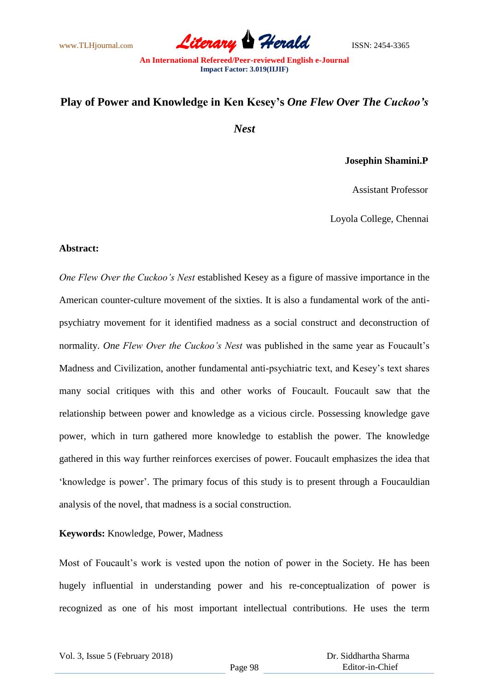www.TLHjournal.com *Literary Herald*ISSN: 2454-3365

# **Play of Power and Knowledge in Ken Kesey's** *One Flew Over The Cuckoo's*

*Nest*

### **Josephin Shamini.P**

Assistant Professor

Loyola College, Chennai

#### **Abstract:**

*One Flew Over the Cuckoo's Nest* established Kesey as a figure of massive importance in the American counter-culture movement of the sixties. It is also a fundamental work of the antipsychiatry movement for it identified madness as a social construct and deconstruction of normality. *One Flew Over the Cuckoo's Nest* was published in the same year as Foucault"s Madness and Civilization, another fundamental anti-psychiatric text, and Kesey"s text shares many social critiques with this and other works of Foucault. Foucault saw that the relationship between power and knowledge as a vicious circle. Possessing knowledge gave power, which in turn gathered more knowledge to establish the power. The knowledge gathered in this way further reinforces exercises of power. Foucault emphasizes the idea that "knowledge is power". The primary focus of this study is to present through a Foucauldian analysis of the novel, that madness is a social construction.

#### **Keywords:** Knowledge, Power, Madness

Most of Foucault's work is vested upon the notion of power in the Society. He has been hugely influential in understanding power and his re-conceptualization of power is recognized as one of his most important intellectual contributions. He uses the term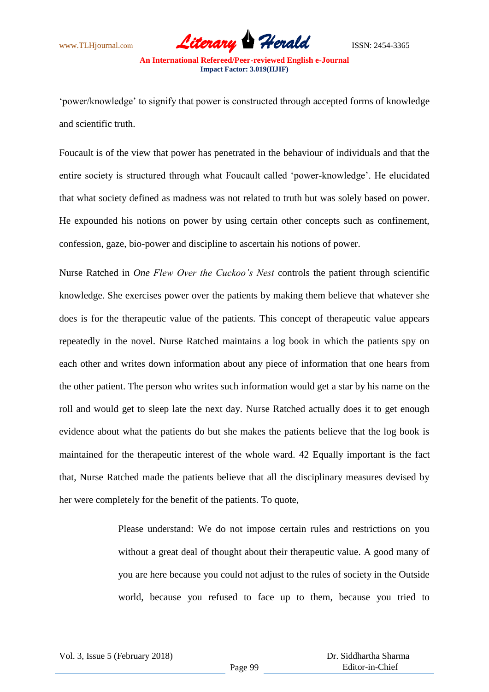

"power/knowledge" to signify that power is constructed through accepted forms of knowledge and scientific truth.

Foucault is of the view that power has penetrated in the behaviour of individuals and that the entire society is structured through what Foucault called "power-knowledge". He elucidated that what society defined as madness was not related to truth but was solely based on power. He expounded his notions on power by using certain other concepts such as confinement, confession, gaze, bio-power and discipline to ascertain his notions of power.

Nurse Ratched in *One Flew Over the Cuckoo's Nest* controls the patient through scientific knowledge. She exercises power over the patients by making them believe that whatever she does is for the therapeutic value of the patients. This concept of therapeutic value appears repeatedly in the novel. Nurse Ratched maintains a log book in which the patients spy on each other and writes down information about any piece of information that one hears from the other patient. The person who writes such information would get a star by his name on the roll and would get to sleep late the next day. Nurse Ratched actually does it to get enough evidence about what the patients do but she makes the patients believe that the log book is maintained for the therapeutic interest of the whole ward. 42 Equally important is the fact that, Nurse Ratched made the patients believe that all the disciplinary measures devised by her were completely for the benefit of the patients. To quote,

> Please understand: We do not impose certain rules and restrictions on you without a great deal of thought about their therapeutic value. A good many of you are here because you could not adjust to the rules of society in the Outside world, because you refused to face up to them, because you tried to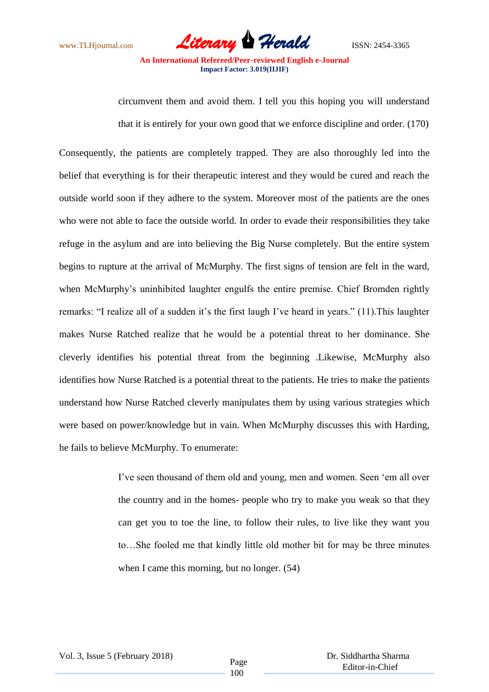

circumvent them and avoid them. I tell you this hoping you will understand that it is entirely for your own good that we enforce discipline and order. (170)

Consequently, the patients are completely trapped. They are also thoroughly led into the belief that everything is for their therapeutic interest and they would be cured and reach the outside world soon if they adhere to the system. Moreover most of the patients are the ones who were not able to face the outside world. In order to evade their responsibilities they take refuge in the asylum and are into believing the Big Nurse completely. But the entire system begins to rupture at the arrival of McMurphy. The first signs of tension are felt in the ward, when McMurphy's uninhibited laughter engulfs the entire premise. Chief Bromden rightly remarks: "I realize all of a sudden it's the first laugh I've heard in years." (11). This laughter makes Nurse Ratched realize that he would be a potential threat to her dominance. She cleverly identifies his potential threat from the beginning .Likewise, McMurphy also identifies how Nurse Ratched is a potential threat to the patients. He tries to make the patients understand how Nurse Ratched cleverly manipulates them by using various strategies which were based on power/knowledge but in vain. When McMurphy discusses this with Harding, he fails to believe McMurphy. To enumerate:

> I"ve seen thousand of them old and young, men and women. Seen "em all over the country and in the homes- people who try to make you weak so that they can get you to toe the line, to follow their rules, to live like they want you to…She fooled me that kindly little old mother bit for may be three minutes when I came this morning, but no longer. (54)

Vol. 3, Issue 5 (February 2018) Page

 Dr. Siddhartha Sharma Editor-in-Chief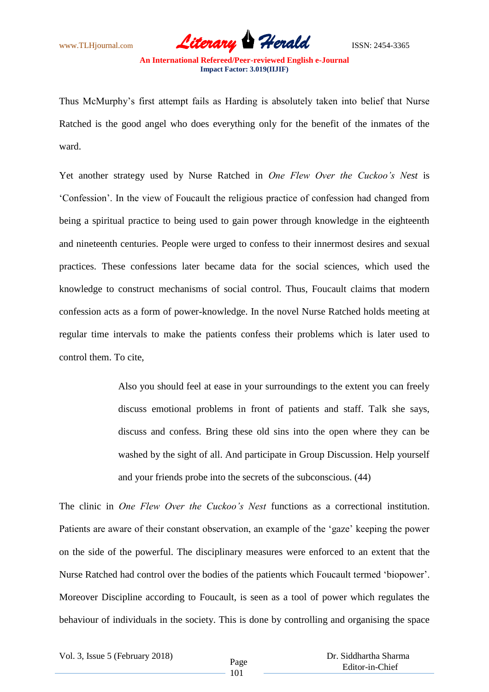www.TLHjournal.com **Literary Herald** ISSN: 2454-3365

Thus McMurphy"s first attempt fails as Harding is absolutely taken into belief that Nurse Ratched is the good angel who does everything only for the benefit of the inmates of the ward.

Yet another strategy used by Nurse Ratched in *One Flew Over the Cuckoo's Nest* is "Confession". In the view of Foucault the religious practice of confession had changed from being a spiritual practice to being used to gain power through knowledge in the eighteenth and nineteenth centuries. People were urged to confess to their innermost desires and sexual practices. These confessions later became data for the social sciences, which used the knowledge to construct mechanisms of social control. Thus, Foucault claims that modern confession acts as a form of power-knowledge. In the novel Nurse Ratched holds meeting at regular time intervals to make the patients confess their problems which is later used to control them. To cite,

> Also you should feel at ease in your surroundings to the extent you can freely discuss emotional problems in front of patients and staff. Talk she says, discuss and confess. Bring these old sins into the open where they can be washed by the sight of all. And participate in Group Discussion. Help yourself and your friends probe into the secrets of the subconscious. (44)

The clinic in *One Flew Over the Cuckoo's Nest* functions as a correctional institution. Patients are aware of their constant observation, an example of the 'gaze' keeping the power on the side of the powerful. The disciplinary measures were enforced to an extent that the Nurse Ratched had control over the bodies of the patients which Foucault termed "biopower". Moreover Discipline according to Foucault, is seen as a tool of power which regulates the behaviour of individuals in the society. This is done by controlling and organising the space

101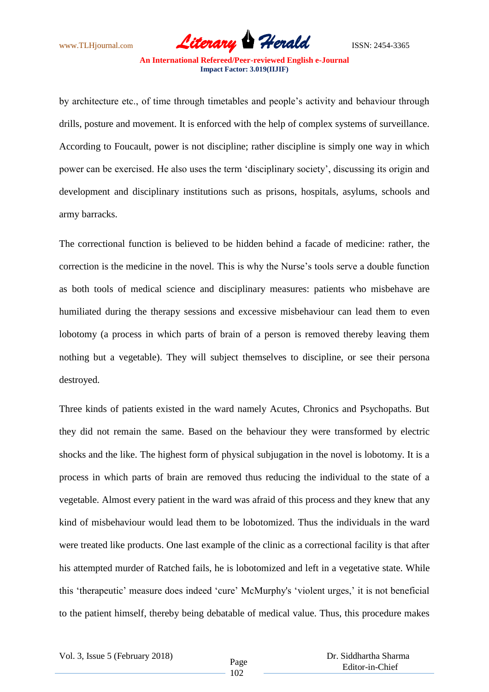www.TLHjournal.com **Literary Herald** ISSN: 2454-3365

by architecture etc., of time through timetables and people"s activity and behaviour through drills, posture and movement. It is enforced with the help of complex systems of surveillance. According to Foucault, power is not discipline; rather discipline is simply one way in which power can be exercised. He also uses the term "disciplinary society", discussing its origin and development and disciplinary institutions such as prisons, hospitals, asylums, schools and army barracks.

The correctional function is believed to be hidden behind a facade of medicine: rather, the correction is the medicine in the novel. This is why the Nurse"s tools serve a double function as both tools of medical science and disciplinary measures: patients who misbehave are humiliated during the therapy sessions and excessive misbehaviour can lead them to even lobotomy (a process in which parts of brain of a person is removed thereby leaving them nothing but a vegetable). They will subject themselves to discipline, or see their persona destroyed.

Three kinds of patients existed in the ward namely Acutes, Chronics and Psychopaths. But they did not remain the same. Based on the behaviour they were transformed by electric shocks and the like. The highest form of physical subjugation in the novel is lobotomy. It is a process in which parts of brain are removed thus reducing the individual to the state of a vegetable. Almost every patient in the ward was afraid of this process and they knew that any kind of misbehaviour would lead them to be lobotomized. Thus the individuals in the ward were treated like products. One last example of the clinic as a correctional facility is that after his attempted murder of Ratched fails, he is lobotomized and left in a vegetative state. While this "therapeutic" measure does indeed "cure" McMurphy's "violent urges," it is not beneficial to the patient himself, thereby being debatable of medical value. Thus, this procedure makes

 Dr. Siddhartha Sharma Editor-in-Chief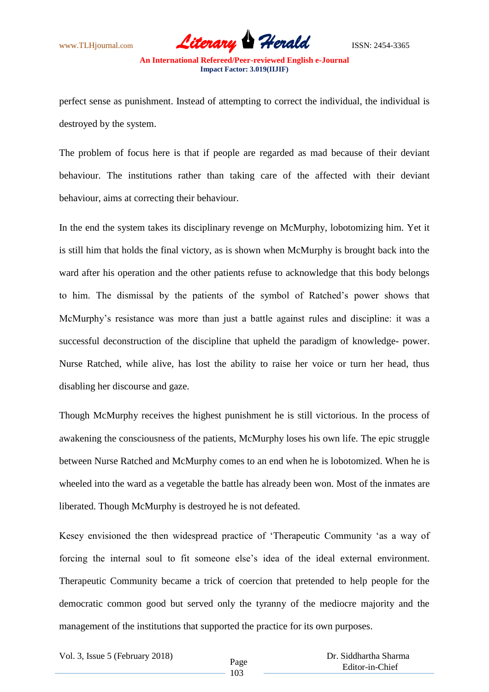

perfect sense as punishment. Instead of attempting to correct the individual, the individual is destroyed by the system.

The problem of focus here is that if people are regarded as mad because of their deviant behaviour. The institutions rather than taking care of the affected with their deviant behaviour, aims at correcting their behaviour.

In the end the system takes its disciplinary revenge on McMurphy, lobotomizing him. Yet it is still him that holds the final victory, as is shown when McMurphy is brought back into the ward after his operation and the other patients refuse to acknowledge that this body belongs to him. The dismissal by the patients of the symbol of Ratched"s power shows that McMurphy"s resistance was more than just a battle against rules and discipline: it was a successful deconstruction of the discipline that upheld the paradigm of knowledge- power. Nurse Ratched, while alive, has lost the ability to raise her voice or turn her head, thus disabling her discourse and gaze.

Though McMurphy receives the highest punishment he is still victorious. In the process of awakening the consciousness of the patients, McMurphy loses his own life. The epic struggle between Nurse Ratched and McMurphy comes to an end when he is lobotomized. When he is wheeled into the ward as a vegetable the battle has already been won. Most of the inmates are liberated. Though McMurphy is destroyed he is not defeated.

Kesey envisioned the then widespread practice of "Therapeutic Community "as a way of forcing the internal soul to fit someone else's idea of the ideal external environment. Therapeutic Community became a trick of coercion that pretended to help people for the democratic common good but served only the tyranny of the mediocre majority and the management of the institutions that supported the practice for its own purposes.

103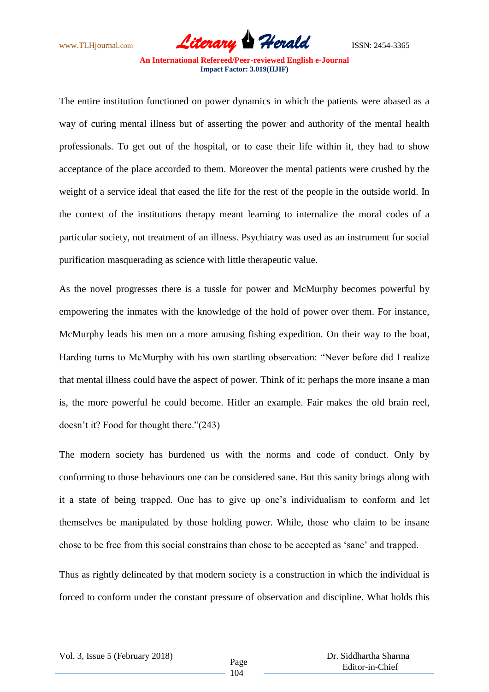www.TLHjournal.com **Literary Herald** ISSN: 2454-3365

The entire institution functioned on power dynamics in which the patients were abased as a way of curing mental illness but of asserting the power and authority of the mental health professionals. To get out of the hospital, or to ease their life within it, they had to show acceptance of the place accorded to them. Moreover the mental patients were crushed by the weight of a service ideal that eased the life for the rest of the people in the outside world. In the context of the institutions therapy meant learning to internalize the moral codes of a particular society, not treatment of an illness. Psychiatry was used as an instrument for social purification masquerading as science with little therapeutic value.

As the novel progresses there is a tussle for power and McMurphy becomes powerful by empowering the inmates with the knowledge of the hold of power over them. For instance, McMurphy leads his men on a more amusing fishing expedition. On their way to the boat, Harding turns to McMurphy with his own startling observation: "Never before did I realize that mental illness could have the aspect of power. Think of it: perhaps the more insane a man is, the more powerful he could become. Hitler an example. Fair makes the old brain reel, doesn"t it? Food for thought there."(243)

The modern society has burdened us with the norms and code of conduct. Only by conforming to those behaviours one can be considered sane. But this sanity brings along with it a state of being trapped. One has to give up one"s individualism to conform and let themselves be manipulated by those holding power. While, those who claim to be insane chose to be free from this social constrains than chose to be accepted as "sane" and trapped.

Thus as rightly delineated by that modern society is a construction in which the individual is forced to conform under the constant pressure of observation and discipline. What holds this